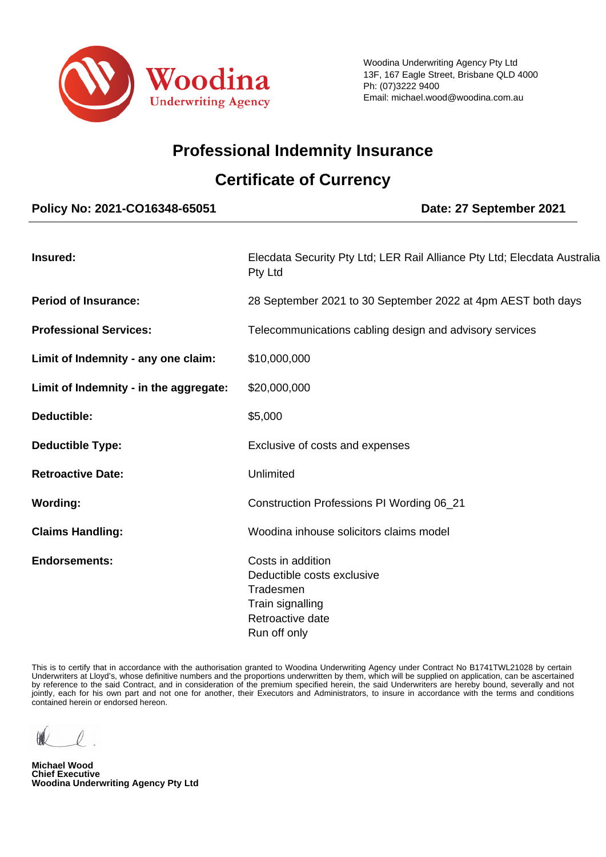

# **Professional Indemnity Insurance**

# **Certificate of Currency**

# **Policy No: 2021-CO16348-65051 Date: 27 September 2021 Insured:** Elecdata Security Pty Ltd; LER Rail Alliance Pty Ltd; Elecdata Australia Pty Ltd **Period of Insurance:** 28 September 2021 to 30 September 2022 at 4pm AEST both days **Professional Services:** Telecommunications cabling design and advisory services Limit of Indemnity - any one claim: \$10,000,000 **Limit of Indemnity - in the aggregate:** \$20,000,000 **Deductible:**  $$5,000$ **Deductible Type:** Exclusive of costs and expenses **Retroactive Date:** Unlimited **Wording:** Construction Professions PI Wording 06\_21 **Claims Handling:** Woodina inhouse solicitors claims model

**Endorsements:** Costs in addition Deductible costs exclusive Tradesmen Train signalling Retroactive date Run off only

 This is to certify that in accordance with the authorisation granted to Woodina Underwriting Agency under Contract No B1741TWL21028 by certain Underwriters at Lloyd's, whose definitive numbers and the proportions underwritten by them, which will be supplied on application, can be ascertained by reference to the said Contract, and in consideration of the premium specified herein, the said Underwriters are hereby bound, severally and not jointly, each for his own part and not one for another, their Executors and Administrators, to insure in accordance with the terms and conditions contained herein or endorsed hereon.

**Michael Wood Chief Executive Woodina Underwriting Agency Pty Ltd**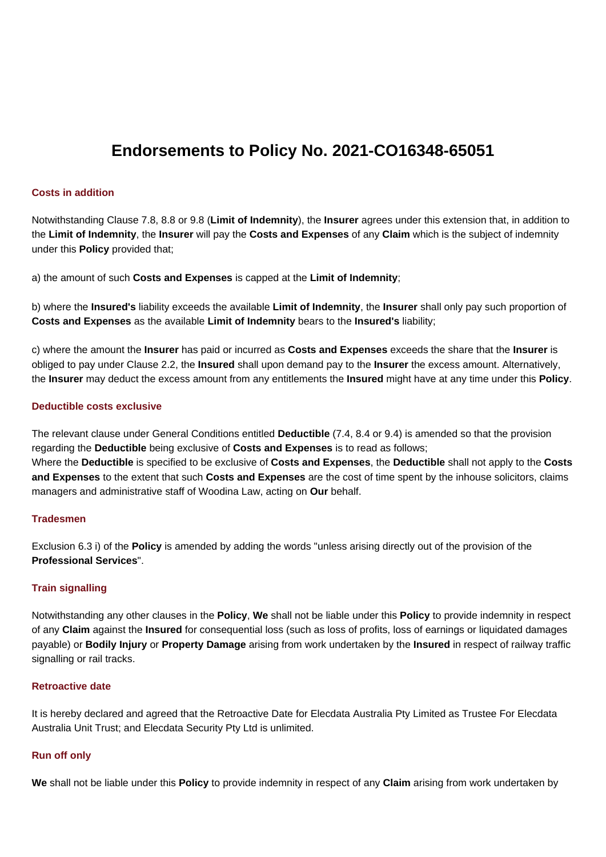# **Endorsements to Policy No. 2021-CO16348-65051**

#### **Costs in addition**

Notwithstanding Clause 7.8, 8.8 or 9.8 (**Limit of Indemnity**), the **Insurer** agrees under this extension that, in addition to the **Limit of Indemnity**, the **Insurer** will pay the **Costs and Expenses** of any **Claim** which is the subject of indemnity under this **Policy** provided that;

a) the amount of such **Costs and Expenses** is capped at the **Limit of Indemnity**;

b) where the **Insured's** liability exceeds the available **Limit of Indemnity**, the **Insurer** shall only pay such proportion of **Costs and Expenses** as the available **Limit of Indemnity** bears to the **Insured's** liability;

c) where the amount the **Insurer** has paid or incurred as **Costs and Expenses** exceeds the share that the **Insurer** is obliged to pay under Clause 2.2, the **Insured** shall upon demand pay to the **Insurer** the excess amount. Alternatively, the **Insurer** may deduct the excess amount from any entitlements the **Insured** might have at any time under this **Policy**.

#### **Deductible costs exclusive**

The relevant clause under General Conditions entitled **Deductible** (7.4, 8.4 or 9.4) is amended so that the provision regarding the **Deductible** being exclusive of **Costs and Expenses** is to read as follows;

Where the **Deductible** is specified to be exclusive of **Costs and Expenses**, the **Deductible** shall not apply to the **Costs and Expenses** to the extent that such **Costs and Expenses** are the cost of time spent by the inhouse solicitors, claims managers and administrative staff of Woodina Law, acting on **Our** behalf.

## **Tradesmen**

Exclusion 6.3 i) of the **Policy** is amended by adding the words "unless arising directly out of the provision of the **Professional Services**".

## **Train signalling**

Notwithstanding any other clauses in the **Policy**, **We** shall not be liable under this **Policy** to provide indemnity in respect of any **Claim** against the **Insured** for consequential loss (such as loss of profits, loss of earnings or liquidated damages payable) or **Bodily Injury** or **Property Damage** arising from work undertaken by the **Insured** in respect of railway traffic signalling or rail tracks.

## **Retroactive date**

It is hereby declared and agreed that the Retroactive Date for Elecdata Australia Pty Limited as Trustee For Elecdata Australia Unit Trust; and Elecdata Security Pty Ltd is unlimited.

## **Run off only**

**We** shall not be liable under this **Policy** to provide indemnity in respect of any **Claim** arising from work undertaken by